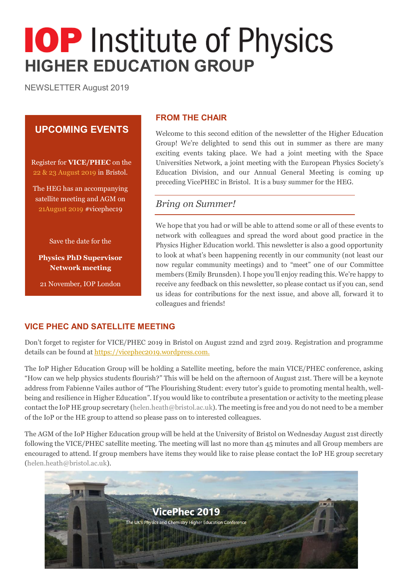# **IOP** Institute of Physics **HIGHER EDUCATION GROUP**

NEWSLETTER August 2019

# **UPCOMING EVENTS**

Register for **VICE/PHEC** on the 22 & 23 August 2019 in Bristol.

The HEG has an accompanying satellite meeting and AGM on 21August 2019 #vicephec19

Save the date for the

**Physics PhD Supervisor Network meeting**

21 November, IOP London

#### **FROM THE CHAIR**

Welcome to this second edition of the newsletter of the Higher Education Group! We're delighted to send this out in summer as there are many exciting events taking place. We had a joint meeting with the Space Universities Network, a joint meeting with the European Physics Society's Education Division, and our Annual General Meeting is coming up preceding VicePHEC in Bristol. It is a busy summer for the HEG.

## *Bring on Summer!*

We hope that you had or will be able to attend some or all of these events to network with colleagues and spread the word about good practice in the Physics Higher Education world. This newsletter is also a good opportunity to look at what's been happening recently in our community (not least our now regular community meetings) and to "meet" one of our Committee members (Emily Brunsden). I hope you'll enjoy reading this. We're happy to receive any feedback on this newsletter, so please contact us if you can, send us ideas for contributions for the next issue, and above all, forward it to colleagues and friends!

### **VICE PHEC AND SATELLITE MEETING**

Don't forget to register for VICE/PHEC 2019 in Bristol on August 22nd and 23rd 2019. Registration and programme details can be found a[t https://vicephec2019.wordpress.com.](https://vicephec2019.wordpress.com/)

The IoP Higher Education Group will be holding a Satellite meeting, before the main VICE/PHEC conference, asking "How can we help physics students flourish?" This will be held on the afternoon of August 21st. There will be a keynote address from Fabienne Vailes author of "The Flourishing Student: every tutor's guide to promoting mental health, wellbeing and resilience in Higher Education". If you would like to contribute a presentation or activity to the meeting please contact the IoP HE group secretary (helen.heath@bristol.ac.uk). The meeting is free and you do not need to be a member of the IoP or the HE group to attend so please pass on to interested colleagues.

The AGM of the IoP Higher Education group will be held at the University of Bristol on Wednesday August 21st directly following the VICE/PHEC satellite meeting. The meeting will last no more than 45 minutes and all Group members are encouraged to attend. If group members have items they would like to raise please contact the IoP HE group secretary (helen.heath@bristol.ac.uk).

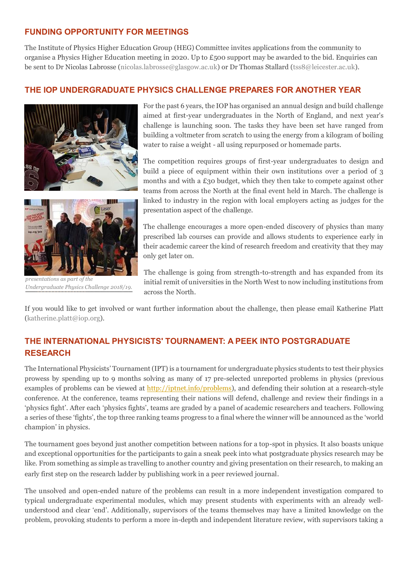### **FUNDING OPPORTUNITY FOR MEETINGS**

The Institute of Physics Higher Education Group (HEG) Committee invites applications from the community to organise a Physics Higher Education meeting in 2020. Up to  $E_500$  support may be awarded to the bid. Enquiries can be sent to Dr Nicolas Labrosse (nicolas.labrosse@glasgow.ac.uk) or Dr Thomas Stallard (tss8@leicester.ac.uk).

#### **THE IOP UNDERGRADUATE PHYSICS CHALLENGE PREPARES FOR ANOTHER YEAR**





*presentations as part of the Undergraduate Physics Challenge 2018/19.*

For the past 6 years, the IOP has organised an annual design and build challenge aimed at first-year undergraduates in the North of England, and next year's challenge is launching soon. The tasks they have been set have ranged from building a voltmeter from scratch to using the energy from a kilogram of boiling water to raise a weight - all using repurposed or homemade parts.

The competition requires groups of first-year undergraduates to design and build a piece of equipment within their own institutions over a period of 3 months and with a  $£30$  budget, which they then take to compete against other teams from across the North at the final event held in March. The challenge is linked to industry in the region with local employers acting as judges for the presentation aspect of the challenge.

The challenge encourages a more open-ended discovery of physics than many prescribed lab courses can provide and allows students to experience early in their academic career the kind of research freedom and creativity that they may only get later on.

The challenge is going from strength-to-strength and has expanded from its initial remit of universities in the North West to now including institutions from across the North.

If you would like to get involved or want further information about the challenge, then please email Katherine Platt (katherine.platt@iop.org).

# **THE INTERNATIONAL PHYSICISTS' TOURNAMENT: A PEEK INTO POSTGRADUATE RESEARCH**

The International Physicists' Tournament (IPT) is a tournament for undergraduate physics students to test their physics prowess by spending up to 9 months solving as many of 17 pre-selected unreported problems in physics (previous examples of problems can be viewed at [http://iptnet.info/problems\)](http://iptnet.info/problems), and defending their solution at a research-style conference. At the conference, teams representing their nations will defend, challenge and review their findings in a 'physics fight'. After each 'physics fights', teams are graded by a panel of academic researchers and teachers. Following a series of these 'fights', the top three ranking teams progress to a final where the winner will be announced as the 'world champion' in physics.

The tournament goes beyond just another competition between nations for a top-spot in physics. It also boasts unique and exceptional opportunities for the participants to gain a sneak peek into what postgraduate physics research may be like. From something as simple as travelling to another country and giving presentation on their research, to making an early first step on the research ladder by publishing work in a peer reviewed journal.

The unsolved and open-ended nature of the problems can result in a more independent investigation compared to typical undergraduate experimental modules, which may present students with experiments with an already wellunderstood and clear 'end'. Additionally, supervisors of the teams themselves may have a limited knowledge on the problem, provoking students to perform a more in-depth and independent literature review, with supervisors taking a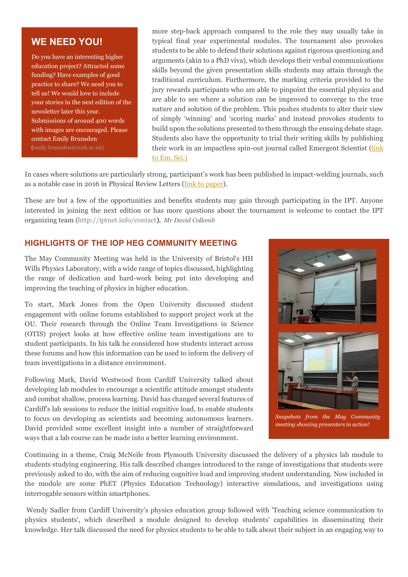# **WE NEED YOU!**

Do you have an interesting higher education project? Attracted some funding? Have examples of good practice to share? We need you to tell us! We would love to include your stories in the next edition of the newsletter later this year. Submissions of around 400 words with images are encouraged. Please contact Emily Brunsden (emily.brunsden@york.ac.uk).

more step-back approach compared to the role they may usually take in typical final year experimental modules. The tournament also provokes students to be able to defend their solutions against rigorous questioning and arguments (akin to a PhD viva), which develops their verbal communications skills beyond the given presentation skills students may attain through the traditional curriculum. Furthermore, the marking criteria provided to the jury rewards participants who are able to pinpoint the essential physics and are able to see where a solution can be improved to converge to the true nature and solution of the problem. This pushes students to alter their view of simply 'winning' and 'scoring marks' and instead provokes students to build upon the solutions presented to them through the ensuing debate stage. Students also have the opportunity to trial their writing skills by publishing their work in an impactless spin-out journal called Emergent Scientist [\(link](https://emergent-scientist.edp-open.org/articles/emsci/full_html/2017/01/emsci170008s/emsci170008s.html)  [to Em. Sci.\)](https://emergent-scientist.edp-open.org/articles/emsci/full_html/2017/01/emsci170008s/emsci170008s.html)

In cases where solutions are particularly strong, participant's work has been published in impact-welding journals, such as a notable case in 2016 in Physical Review Letters [\(link to paper\)](https://journals.aps.org/prl/abstract/10.1103/PhysRevLett.119.084301).

These are but a few of the opportunities and benefits students may gain through participating in the IPT. Anyone interested in joining the next edition or has more questions about the tournament is welcome to contact the IPT organizing team (http://iptnet.info/contact). *Mr David Collomb*

#### **HIGHLIGHTS OF THE IOP HEG COMMUNITY MEETING**

The May Community Meeting was held in the University of Bristol's HH Wills Physics Laboratory, with a wide range of topics discussed, highlighting the range of dedication and hard-work being put into developing and improving the teaching of physics in higher education.

To start, Mark Jones from the Open University discussed student engagement with online forums established to support project work at the OU. Their research through the Online Team Investigations in Science (OTIS) project looks at how effective online team investigations are to student participants. In his talk he considered how students interact across these forums and how this information can be used to inform the delivery of team investigations in a distance environment.

Following Mark, David Westwood from Cardiff University talked about developing lab modules to encourage a scientific attitude amongst students and combat shallow, process learning. David has changed several features of Cardiff's lab sessions to reduce the initial cognitive load, to enable students to focus on developing as scientists and becoming autonomous learners. David provided some excellent insight into a number of straightforward ways that a lab course can be made into a better learning environment.



*Snapshots from the May Community meeting showing presenters in action!*

Continuing in a theme, Craig McNeile from Plymouth University discussed the delivery of a physics lab module to students studying engineering. His talk described changes introduced to the range of investigations that students were *Emily looks professional* previously asked to do, with the aim of reducing cognitive load and improving student understanding. Now included in the module are some PhET (Physics Education Technology) interactive simulations, and investigations using interrogable sensors within smartphones.

Wendy Sadler from Cardiff University's physics education group followed with 'Teaching science communication to physics students', which described a module designed to develop students' capabilities in disseminating their knowledge. Her talk discussed the need for physics students to be able to talk about their subject in an engaging way to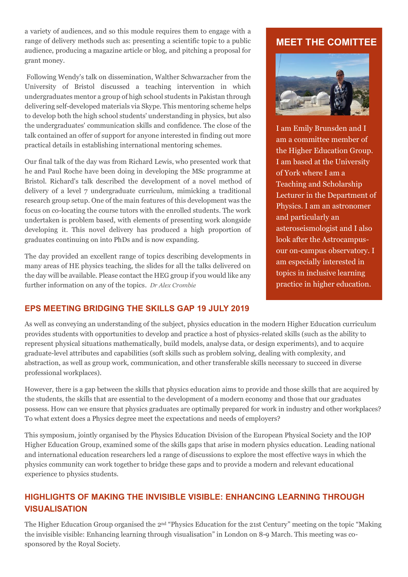a variety of audiences, and so this module requires them to engage with a range of delivery methods such as: presenting a scientific topic to a public audience, producing a magazine article or blog, and pitching a proposal for grant money.

Following Wendy's talk on dissemination, Walther Schwarzacher from the University of Bristol discussed a teaching intervention in which undergraduates mentor a group of high school students in Pakistan through delivering self-developed materials via Skype. This mentoring scheme helps to develop both the high school students' understanding in physics, but also the undergraduates' communication skills and confidence. The close of the talk contained an offer of support for anyone interested in finding out more practical details in establishing international mentoring schemes.

Our final talk of the day was from Richard Lewis, who presented work that he and Paul Roche have been doing in developing the MSc programme at Bristol. Richard's talk described the development of a novel method of delivery of a level 7 undergraduate curriculum, mimicking a traditional research group setup. One of the main features of this development was the focus on co-locating the course tutors with the enrolled students. The work undertaken is problem based, with elements of presenting work alongside developing it. This novel delivery has produced a high proportion of graduates continuing on into PhDs and is now expanding.

The day provided an excellent range of topics describing developments in many areas of HE physics teaching, the slides for all the talks delivered on the day will be available. Please contact the HEG group if you would like any further information on any of the topics. *Dr Alex Crombie*

# **EPS MEETING BRIDGING THE SKILLS GAP 19 JULY 2019**

#### **MEET THE COMITTEE**



I am Emily Brunsden and I am a committee member of the Higher Education Group. I am based at the University of York where I am a Teaching and Scholarship Lecturer in the Department of Physics. I am an astronomer and particularly an asteroseismologist and I also look after the Astrocampusour on-campus observatory. I am especially interested in topics in inclusive learning practice in higher education.

As well as conveying an understanding of the subject, physics education in the modern Higher Education curriculum provides students with opportunities to develop and practice a host of physics-related skills (such as the ability to represent physical situations mathematically, build models, analyse data, or design experiments), and to acquire graduate-level attributes and capabilities (soft skills such as problem solving, dealing with complexity, and abstraction, as well as group work, communication, and other transferable skills necessary to succeed in diverse professional workplaces).

However, there is a gap between the skills that physics education aims to provide and those skills that are acquired by the students, the skills that are essential to the development of a modern economy and those that our graduates possess. How can we ensure that physics graduates are optimally prepared for work in industry and other workplaces? To what extent does a Physics degree meet the expectations and needs of employers?

This symposium, jointly organised by the Physics Education Division of the European Physical Society and the IOP Higher Education Group, examined some of the skills gaps that arise in modern physics education. Leading national and international education researchers led a range of discussions to explore the most effective ways in which the physics community can work together to bridge these gaps and to provide a modern and relevant educational experience to physics students.

# **HIGHLIGHTS OF MAKING THE INVISIBLE VISIBLE: ENHANCING LEARNING THROUGH VISUALISATION**

The Higher Education Group organised the 2nd "Physics Education for the 21st Century" meeting on the topic "Making the invisible visible: Enhancing learning through visualisation" in London on 8-9 March. This meeting was cosponsored by the Royal Society.